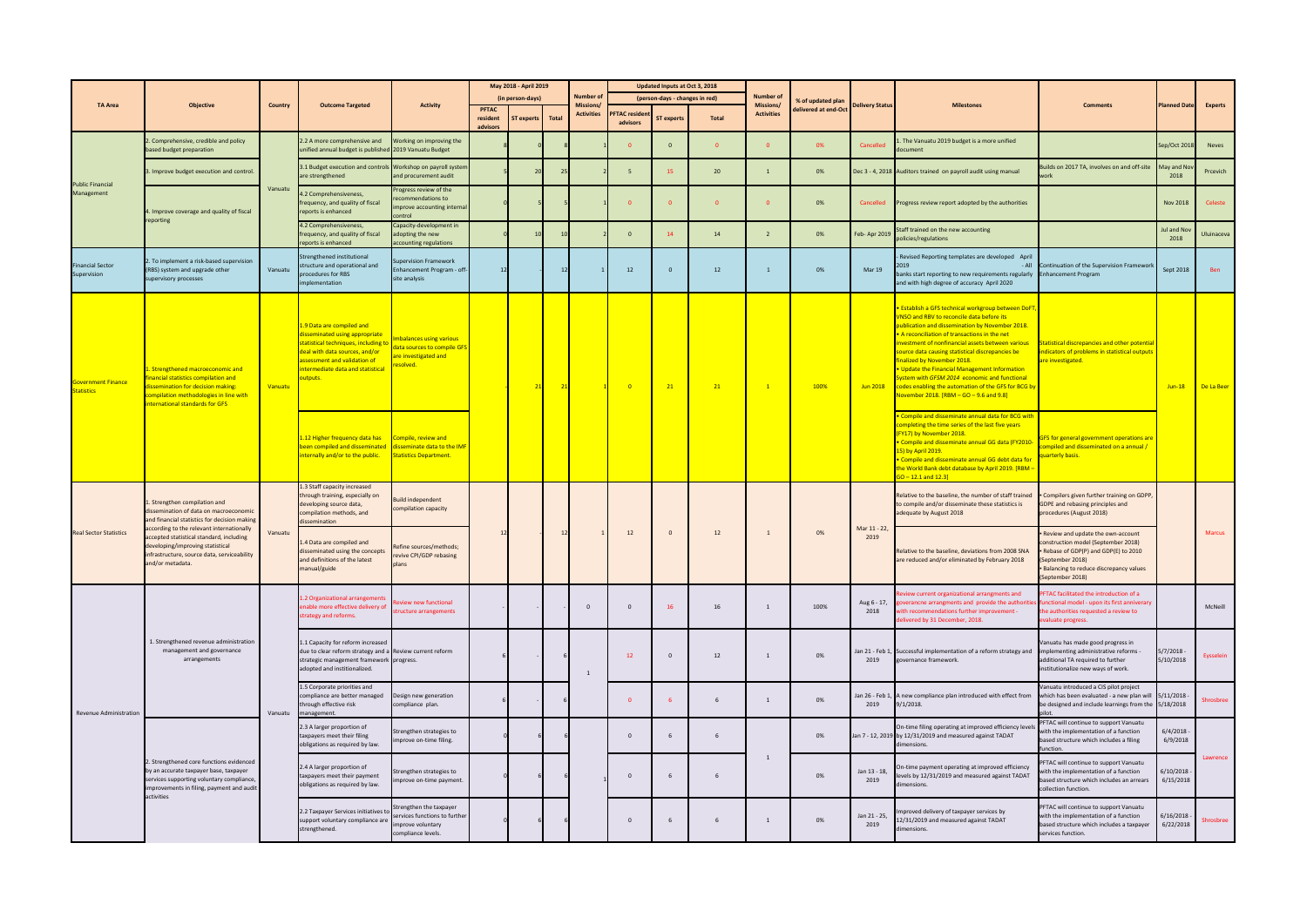| <b>TA Area</b>                                 | <b>Objective</b>                                                                                                                                                                                                                                                                                                   | <b>Country</b> | <b>Outcome Targeted</b>                                                                                                                                                                                               | <b>Activity</b>                                                                                    | May 2018 - April 2019    |                    |                                | Number of                      |                            | Updated Inputs at Oct 3, 2018        |                   |                   |                      |                        |                                                                                                                                                                                                                                                                                                                                                                                                                                                                                                                                                               |                                                                                                                                                                                                  |                          |               |
|------------------------------------------------|--------------------------------------------------------------------------------------------------------------------------------------------------------------------------------------------------------------------------------------------------------------------------------------------------------------------|----------------|-----------------------------------------------------------------------------------------------------------------------------------------------------------------------------------------------------------------------|----------------------------------------------------------------------------------------------------|--------------------------|--------------------|--------------------------------|--------------------------------|----------------------------|--------------------------------------|-------------------|-------------------|----------------------|------------------------|---------------------------------------------------------------------------------------------------------------------------------------------------------------------------------------------------------------------------------------------------------------------------------------------------------------------------------------------------------------------------------------------------------------------------------------------------------------------------------------------------------------------------------------------------------------|--------------------------------------------------------------------------------------------------------------------------------------------------------------------------------------------------|--------------------------|---------------|
|                                                |                                                                                                                                                                                                                                                                                                                    |                |                                                                                                                                                                                                                       |                                                                                                    | (in person-days)         |                    | (person-days - changes in red) |                                |                            | <b>Number of</b><br><b>Missions/</b> | % of updated plan |                   | <b>Milestones</b>    | <b>Comments</b>        | <b>Planned Date</b>                                                                                                                                                                                                                                                                                                                                                                                                                                                                                                                                           | <b>Experts</b>                                                                                                                                                                                   |                          |               |
|                                                |                                                                                                                                                                                                                                                                                                                    |                |                                                                                                                                                                                                                       |                                                                                                    | <b>PFTAC</b><br>resident | ST experts   Total |                                | Missions/<br><b>Activities</b> | <b>PFTAC resider</b>       | <b>ST experts</b>                    | <b>Total</b>      | <b>Activities</b> | delivered at end-Oct | <b>Delivery Status</b> |                                                                                                                                                                                                                                                                                                                                                                                                                                                                                                                                                               |                                                                                                                                                                                                  |                          |               |
|                                                |                                                                                                                                                                                                                                                                                                                    |                |                                                                                                                                                                                                                       |                                                                                                    | advisors                 |                    |                                |                                | advisors                   |                                      |                   |                   |                      |                        |                                                                                                                                                                                                                                                                                                                                                                                                                                                                                                                                                               |                                                                                                                                                                                                  |                          |               |
| <b>Public Financial</b><br>Management          | . Comprehensive, credible and policy<br>based budget preparation                                                                                                                                                                                                                                                   | Vanuatu        | 2.2 A more comprehensive and<br>unified annual budget is published 2019 Vanuatu Budget                                                                                                                                | Working on improving the                                                                           |                          |                    |                                |                                | $\Omega$                   | $\overline{0}$                       | $\Omega$          |                   | 0%                   | Cancelled              | . The Vanuatu 2019 budget is a more unified<br>document                                                                                                                                                                                                                                                                                                                                                                                                                                                                                                       |                                                                                                                                                                                                  | Sep/Oct 2018             | <b>Neves</b>  |
|                                                | . Improve budget execution and control.                                                                                                                                                                                                                                                                            |                | 3.1 Budget execution and controls<br>are strengthened                                                                                                                                                                 | Workshop on payroll system<br>and procurement audit                                                |                          | 20                 |                                |                                | 5                          | 15                                   | 20                |                   | 0%                   |                        | Dec 3 - 4, 2018 Auditors trained on payroll audit using manual                                                                                                                                                                                                                                                                                                                                                                                                                                                                                                | uilds on 2017 TA, involves on and off-site<br>vork                                                                                                                                               | May and No<br>2018       | Prcevich      |
|                                                | 1. Improve coverage and quality of fiscal<br>reporting                                                                                                                                                                                                                                                             |                | 1.2 Comprehensiveness,<br>frequency, and quality of fiscal                                                                                                                                                            | Progress review of the<br>recommendations to<br>improve accounting interna                         |                          |                    |                                |                                |                            | - 0                                  | $\Omega$          |                   | 0%                   | Cancelled              | Progress review report adopted by the authorities                                                                                                                                                                                                                                                                                                                                                                                                                                                                                                             |                                                                                                                                                                                                  | <b>Nov 2018</b>          | Celeste       |
|                                                |                                                                                                                                                                                                                                                                                                                    |                | reports is enhanced<br>4.2 Comprehensiveness,                                                                                                                                                                         | :ontrol<br>Capacity-development in                                                                 |                          |                    |                                |                                |                            |                                      |                   |                   |                      |                        |                                                                                                                                                                                                                                                                                                                                                                                                                                                                                                                                                               |                                                                                                                                                                                                  |                          |               |
|                                                |                                                                                                                                                                                                                                                                                                                    |                | frequency, and quality of fiscal<br>reports is enhanced                                                                                                                                                               | adopting the new<br>accounting regulations                                                         |                          | 10                 |                                |                                | $\mathbf{0}$               | 14                                   | 14                | $\overline{2}$    | 0%                   | Feb- Apr 2019          | Staff trained on the new accounting<br>policies/regulations                                                                                                                                                                                                                                                                                                                                                                                                                                                                                                   |                                                                                                                                                                                                  | Jul and Nov<br>2018      | Uluinaceva    |
| <b>Financial Sector</b><br>Supervision         | 2. To implement a risk-based supervision<br>(RBS) system and upgrade other<br>supervisory processes                                                                                                                                                                                                                | Vanuatu        | Strengthened institutional<br>structure and operational and<br>procedures for RBS<br>implementation                                                                                                                   | supervision Framework<br>Enhancement Program - off-<br>site analysis                               | 12                       |                    |                                |                                | 12                         | $\Omega$                             | 12                |                   | 0%                   | Mar 19                 | Revised Reporting templates are developed April<br>· All<br>banks start reporting to new requirements regularly<br>and with high degree of accuracy April 2020                                                                                                                                                                                                                                                                                                                                                                                                | Continuation of the Supervision Framework<br><b>Enhancement Program</b>                                                                                                                          | Sept 2018                | Ben           |
| <b>Government Finance</b><br><b>Statistics</b> | Strengthened macroeconomic and<br>nancial statistics compilation and<br>lissemination for decision making:<br>compilation methodologies in line with<br>nternational standards for GFS                                                                                                                             | Vanuatu        | 1.9 Data are compiled and<br>disseminated using appropriate<br>statistical techniques, including t<br>deal with data sources, and/or<br>assessment and validation of<br>intermediate data and statistical<br>outputs. | mbalances using various<br>data sources to compile GFS<br>are investigated and<br><u>esolved.</u>  |                          |                    | 21                             |                                | $\overline{\phantom{0}}$ 0 | 21                                   | 21                | $\mathbf{1}$      | 100%                 | Jun 2018               | <b>• Establish a GFS technical workgroup between DoFT</b><br>VNSO and RBV to reconcile data before its<br>publication and dissemination by November 2018.<br>. A reconciliation of transactions in the net<br>investment of nonfinancial assets between various<br>source data causing statistical discrepancies be<br><b>finalized by November 2018.</b><br>. Update the Financial Management Information<br>System with GFSM 2014 economic and functional<br>codes enabling the automation of the GFS for BCG by<br>November 2018. [RBM - GO - 9.6 and 9.8] | tatistical discrepancies and other potential<br>ndicators of problems in statistical outputs<br>are investigated.                                                                                | $Jun-18$                 | De La Beer    |
|                                                |                                                                                                                                                                                                                                                                                                                    |                | 1.12 Higher frequency data has<br>been compiled and disseminated<br>internally and/or to the public.                                                                                                                  | Compile, review and<br>disseminate data to the IMF<br><b>Statistics Department.</b>                |                          |                    |                                |                                |                            |                                      |                   |                   |                      |                        | . Compile and disseminate annual data for BCG with<br>completing the time series of the last five years<br>(FY17) by November 2018.<br>• Compile and disseminate annual GG data (FY2010-<br>15) by April 2019.<br>· Compile and disseminate annual GG debt data for<br>the World Bank debt database by April 2019. [RBM -<br>$GO - 12.1$ and $12.3$                                                                                                                                                                                                           | GFS for general government operations are<br>ompiled and disseminated on a annual /<br>uarterly basis.                                                                                           |                          |               |
| <b>Real Sector Statistics</b>                  | Strengthen compilation and<br>issemination of data on macroeconomic<br>and financial statistics for decision making<br>according to the relevant internationally<br>accepted statistical standard, including<br>developing/improving statistical<br>nfrastructure, source data, serviceability<br>and/or metadata. | Vanuatu        | 1.3 Staff capacity increased<br>through training, especially on<br>developing source data,<br>compilation methods, and<br>dissemination                                                                               | Build independent<br>compilation capacity                                                          |                          |                    |                                |                                |                            | $\mathbf{0}$                         | 12                | $\mathbf{1}$      | 0%                   | Mar 11 - 22,<br>2019   | Relative to the baseline, the number of staff trained<br>to compile and/or disseminate these statistics is<br>adequate by August 2018                                                                                                                                                                                                                                                                                                                                                                                                                         | Compilers given further training on GDPP,<br><b>SDPE and rebasing principles and</b><br>procedures (August 2018)                                                                                 |                          | <b>Marcus</b> |
|                                                |                                                                                                                                                                                                                                                                                                                    |                | .4 Data are compiled and<br>disseminated using the concepts<br>and definitions of the latest<br>manual/guide                                                                                                          | Refine sources/methods;<br>revive CPI/GDP rebasing<br>plans                                        |                          |                    |                                |                                | 12                         |                                      |                   |                   |                      |                        | Relative to the baseline, deviations from 2008 SNA<br>are reduced and/or eliminated by February 2018                                                                                                                                                                                                                                                                                                                                                                                                                                                          | Review and update the own-account<br>construction model (September 2018)<br>Rebase of GDP(P) and GDP(E) to 2010<br>September 2018)<br>Balancing to reduce discrepancy values<br>(September 2018) |                          |               |
| Revenue Administration                         | 1. Strengthened revenue administration<br>management and governance<br>arrangements                                                                                                                                                                                                                                | Vanuatu        | .2 Organizational arrangements<br>nable more effective delivery of<br>strategy and reforms.                                                                                                                           | teview new functional<br>structure arrangements                                                    |                          |                    |                                | $\mathbf{0}$                   | $\Omega$                   | 16                                   | 16                |                   | 100%                 | 2018                   | Review current organizational arrangments and<br>Aug 6 - 17, goverancne arrangments and provide the authorities functional model - upon its first anniverary<br>with recommendations further improvement -<br>delivered by 31 December, 2018.                                                                                                                                                                                                                                                                                                                 | FTAC facilitated the introduction of a<br>he authorities requested a review to<br>valuate progress.                                                                                              |                          | McNeill       |
|                                                |                                                                                                                                                                                                                                                                                                                    |                | 1.1 Capacity for reform increased<br>due to clear reform strategy and a Review current reform<br>strategic management framework progress.<br>adopted and institionalized.                                             |                                                                                                    |                          |                    |                                | $\overline{1}$                 | 12                         | $\mathbf{0}$                         | 12                |                   | 0%                   | 2019                   | Jan 21 - Feb 1, Successful implementation of a reform strategy and<br>governance framework.                                                                                                                                                                                                                                                                                                                                                                                                                                                                   | Vanuatu has made good progress in<br>implementing administrative reforms -<br>additional TA required to further<br>institutionalize new ways of work.                                            | 5/7/2018 -<br>5/10/2018  | Eysselein     |
|                                                |                                                                                                                                                                                                                                                                                                                    |                | 1.5 Corporate priorities and<br>compliance are better managed<br>through effective risk<br>management.                                                                                                                | Design new generation<br>compliance plan.                                                          |                          |                    |                                |                                | $\mathbf{0}$               |                                      | 6                 | $\mathbf{1}$      | 0%                   | 2019                   | Jan 26 - Feb 1, A new compliance plan introduced with effect from<br>9/1/2018.                                                                                                                                                                                                                                                                                                                                                                                                                                                                                | Vanuatu introduced a CIS pilot project<br>which has been evaluated - a new plan will 5/11/2018 -<br>be designed and include learnings from the 5/18/2018                                         |                          | Shrosbree     |
|                                                | 2. Strengthened core functions evidenced<br>by an accurate taxpayer base, taxpayer<br>services supporting voluntary compliance,<br>improvements in filing, payment and audit<br>activities                                                                                                                         |                | 2.3 A larger proportion of<br>taxpayers meet their filing<br>obligations as required by law.                                                                                                                          | Strengthen strategies to<br>improve on-time filing.                                                |                          |                    |                                |                                | $\Omega$                   |                                      | -6                |                   | 0%<br>0%             |                        | On-time filing operating at improved efficiency levels<br>an 7 - 12, 2019 by 12/31/2019 and measured against TADAT<br>dimensions.                                                                                                                                                                                                                                                                                                                                                                                                                             | PFTAC will continue to support Vanuatu<br>with the implementation of a function<br>based structure which includes a filing<br>function.                                                          | $6/4/2018 -$<br>6/9/2018 |               |
|                                                |                                                                                                                                                                                                                                                                                                                    |                | 2.4 A larger proportion of<br>taxpayers meet their payment<br>obligations as required by law.                                                                                                                         | Strengthen strategies to<br>improve on-time payment.                                               |                          |                    |                                | $\mathbf 0$                    |                            |                                      | - 6               |                   |                      | Jan 13 - 18<br>2019    | On-time payment operating at improved efficiency<br>levels by 12/31/2019 and measured against TADAT<br>dimensions.                                                                                                                                                                                                                                                                                                                                                                                                                                            | FTAC will continue to support Vanuatu<br>vith the implementation of a function<br>based structure which includes an arrears<br>collection function.                                              | 6/10/2018<br>6/15/2018   | Lawrence      |
|                                                |                                                                                                                                                                                                                                                                                                                    |                | 2.2 Taxpayer Services initiatives to<br>support voluntary compliance are<br>strengthened.                                                                                                                             | Strengthen the taxpayer<br>services functions to further<br>mprove voluntary<br>compliance levels. |                          |                    |                                |                                | $\mathbf 0$                |                                      |                   |                   | 0%                   | Jan 21 - 25<br>2019    | Improved delivery of taxpayer services by<br>12/31/2019 and measured against TADAT<br>dimensions.                                                                                                                                                                                                                                                                                                                                                                                                                                                             | PFTAC will continue to support Vanuatu<br>with the implementation of a function<br>based structure which includes a taxpayer<br>services function.                                               | 6/16/2018<br>6/22/2018   | Shrosbree     |